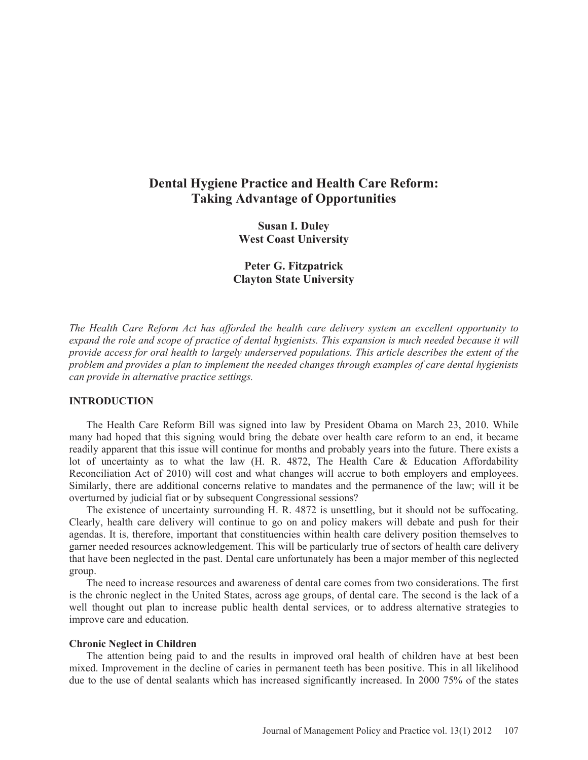# **Dental Hygiene Practice and Health Care Reform: Taking Advantage of Opportunities**

**Susan I. Duley West Coast University** 

**Peter G. Fitzpatrick Clayton State University** 

*The Health Care Reform Act has afforded the health care delivery system an excellent opportunity to expand the role and scope of practice of dental hygienists. This expansion is much needed because it will provide access for oral health to largely underserved populations. This article describes the extent of the problem and provides a plan to implement the needed changes through examples of care dental hygienists can provide in alternative practice settings.*

## **INTRODUCTION**

The Health Care Reform Bill was signed into law by President Obama on March 23, 2010. While many had hoped that this signing would bring the debate over health care reform to an end, it became readily apparent that this issue will continue for months and probably years into the future. There exists a lot of uncertainty as to what the law (H. R. 4872, The Health Care & Education Affordability Reconciliation Act of 2010) will cost and what changes will accrue to both employers and employees. Similarly, there are additional concerns relative to mandates and the permanence of the law; will it be overturned by judicial fiat or by subsequent Congressional sessions?

The existence of uncertainty surrounding H. R. 4872 is unsettling, but it should not be suffocating. Clearly, health care delivery will continue to go on and policy makers will debate and push for their agendas. It is, therefore, important that constituencies within health care delivery position themselves to garner needed resources acknowledgement. This will be particularly true of sectors of health care delivery that have been neglected in the past. Dental care unfortunately has been a major member of this neglected group.

The need to increase resources and awareness of dental care comes from two considerations. The first is the chronic neglect in the United States, across age groups, of dental care. The second is the lack of a well thought out plan to increase public health dental services, or to address alternative strategies to improve care and education.

#### **Chronic Neglect in Children**

The attention being paid to and the results in improved oral health of children have at best been mixed. Improvement in the decline of caries in permanent teeth has been positive. This in all likelihood due to the use of dental sealants which has increased significantly increased. In 2000 75% of the states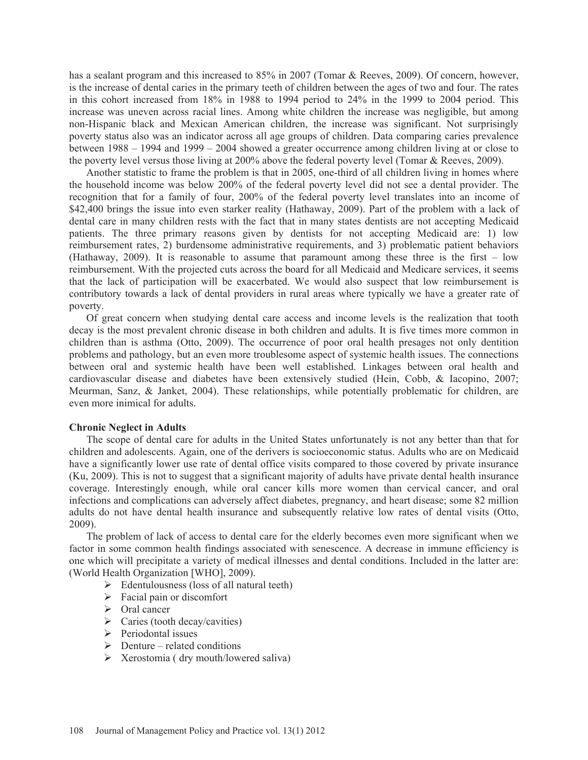has a sealant program and this increased to 85% in 2007 (Tomar & Reeves, 2009). Of concern, however, is the increase of dental caries in the primary teeth of children between the ages of two and four. The rates in this cohort increased from 18% in 1988 to 1994 period to 24% in the 1999 to 2004 period. This increase was uneven across racial lines. Among white children the increase was negligible, but among non-Hispanic black and Mexican American children, the increase was significant. Not surprisingly poverty status also was an indicator across all age groups of children. Data comparing caries prevalence between 1988 – 1994 and 1999 – 2004 showed a greater occurrence among children living at or close to the poverty level versus those living at 200% above the federal poverty level (Tomar & Reeves, 2009).

Another statistic to frame the problem is that in 2005, one-third of all children living in homes where the household income was below 200% of the federal poverty level did not see a dental provider. The recognition that for a family of four, 200% of the federal poverty level translates into an income of \$42,400 brings the issue into even starker reality (Hathaway, 2009). Part of the problem with a lack of dental care in many children rests with the fact that in many states dentists are not accepting Medicaid patients. The three primary reasons given by dentists for not accepting Medicaid are: 1) low reimbursement rates, 2) burdensome administrative requirements, and 3) problematic patient behaviors (Hathaway, 2009). It is reasonable to assume that paramount among these three is the first – low reimbursement. With the projected cuts across the board for all Medicaid and Medicare services, it seems that the lack of participation will be exacerbated. We would also suspect that low reimbursement is contributory towards a lack of dental providers in rural areas where typically we have a greater rate of poverty.

Of great concern when studying dental care access and income levels is the realization that tooth decay is the most prevalent chronic disease in both children and adults. It is five times more common in children than is asthma (Otto, 2009). The occurrence of poor oral health presages not only dentition problems and pathology, but an even more troublesome aspect of systemic health issues. The connections between oral and systemic health have been well established. Linkages between oral health and cardiovascular disease and diabetes have been extensively studied (Hein, Cobb, & Iacopino, 2007; Meurman, Sanz, & Janket, 2004). These relationships, while potentially problematic for children, are even more inimical for adults.

### **Chronic Neglect in Adults**

The scope of dental care for adults in the United States unfortunately is not any better than that for children and adolescents. Again, one of the derivers is socioeconomic status. Adults who are on Medicaid have a significantly lower use rate of dental office visits compared to those covered by private insurance (Ku, 2009). This is not to suggest that a significant majority of adults have private dental health insurance coverage. Interestingly enough, while oral cancer kills more women than cervical cancer, and oral infections and complications can adversely affect diabetes, pregnancy, and heart disease; some 82 million adults do not have dental health insurance and subsequently relative low rates of dental visits (Otto, 2009).

The problem of lack of access to dental care for the elderly becomes even more significant when we factor in some common health findings associated with senescence. A decrease in immune efficiency is one which will precipitate a variety of medical illnesses and dental conditions. Included in the latter are: (World Health Organization [WHO], 2009).

- $\triangleright$  Edentulousness (loss of all natural teeth)
- $\triangleright$  Facial pain or discomfort
- ¾ Oral cancer
- $\triangleright$  Caries (tooth decay/cavities)
- $\triangleright$  Periodontal issues
- $\triangleright$  Denture related conditions
- $\triangleright$  Xerostomia (dry mouth/lowered saliva)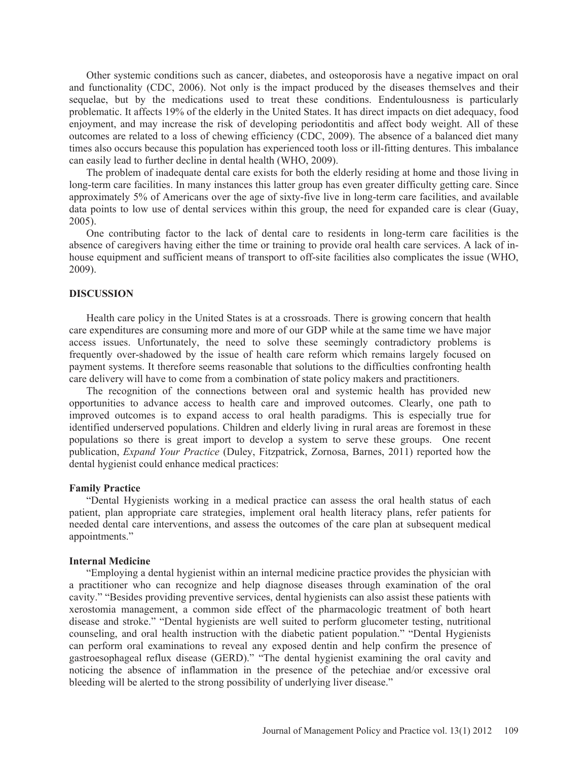Other systemic conditions such as cancer, diabetes, and osteoporosis have a negative impact on oral and functionality (CDC, 2006). Not only is the impact produced by the diseases themselves and their sequelae, but by the medications used to treat these conditions. Endentulousness is particularly problematic. It affects 19% of the elderly in the United States. It has direct impacts on diet adequacy, food enjoyment, and may increase the risk of developing periodontitis and affect body weight. All of these outcomes are related to a loss of chewing efficiency (CDC, 2009). The absence of a balanced diet many times also occurs because this population has experienced tooth loss or ill-fitting dentures. This imbalance can easily lead to further decline in dental health (WHO, 2009).

The problem of inadequate dental care exists for both the elderly residing at home and those living in long-term care facilities. In many instances this latter group has even greater difficulty getting care. Since approximately 5% of Americans over the age of sixty-five live in long-term care facilities, and available data points to low use of dental services within this group, the need for expanded care is clear (Guay, 2005).

One contributing factor to the lack of dental care to residents in long-term care facilities is the absence of caregivers having either the time or training to provide oral health care services. A lack of inhouse equipment and sufficient means of transport to off-site facilities also complicates the issue (WHO, 2009).

#### **DISCUSSION**

Health care policy in the United States is at a crossroads. There is growing concern that health care expenditures are consuming more and more of our GDP while at the same time we have major access issues. Unfortunately, the need to solve these seemingly contradictory problems is frequently over-shadowed by the issue of health care reform which remains largely focused on payment systems. It therefore seems reasonable that solutions to the difficulties confronting health care delivery will have to come from a combination of state policy makers and practitioners.

The recognition of the connections between oral and systemic health has provided new opportunities to advance access to health care and improved outcomes. Clearly, one path to improved outcomes is to expand access to oral health paradigms. This is especially true for identified underserved populations. Children and elderly living in rural areas are foremost in these populations so there is great import to develop a system to serve these groups. One recent publication, *Expand Your Practice* (Duley, Fitzpatrick, Zornosa, Barnes, 2011) reported how the dental hygienist could enhance medical practices:

#### **Family Practice**

"Dental Hygienists working in a medical practice can assess the oral health status of each patient, plan appropriate care strategies, implement oral health literacy plans, refer patients for needed dental care interventions, and assess the outcomes of the care plan at subsequent medical appointments."

#### **Internal Medicine**

"Employing a dental hygienist within an internal medicine practice provides the physician with a practitioner who can recognize and help diagnose diseases through examination of the oral cavity." "Besides providing preventive services, dental hygienists can also assist these patients with xerostomia management, a common side effect of the pharmacologic treatment of both heart disease and stroke." "Dental hygienists are well suited to perform glucometer testing, nutritional counseling, and oral health instruction with the diabetic patient population." "Dental Hygienists can perform oral examinations to reveal any exposed dentin and help confirm the presence of gastroesophageal reflux disease (GERD)." "The dental hygienist examining the oral cavity and noticing the absence of inflammation in the presence of the petechiae and/or excessive oral bleeding will be alerted to the strong possibility of underlying liver disease."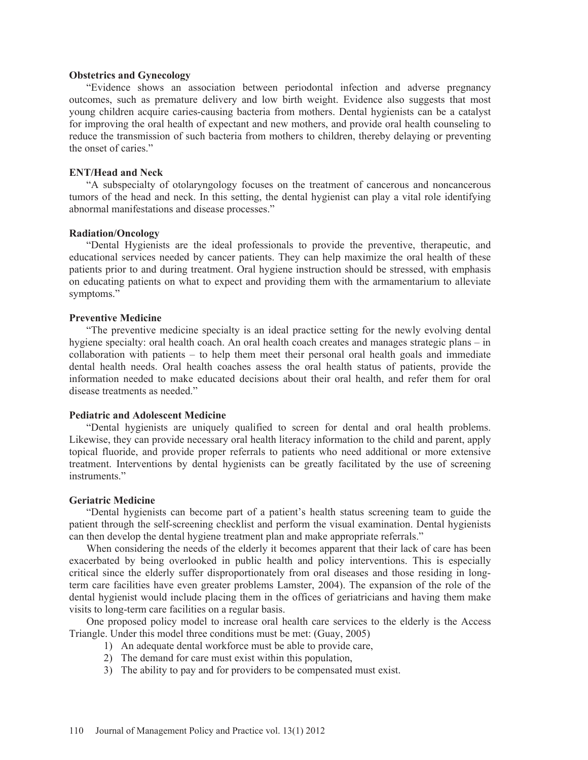#### **Obstetrics and Gynecology**

"Evidence shows an association between periodontal infection and adverse pregnancy outcomes, such as premature delivery and low birth weight. Evidence also suggests that most young children acquire caries-causing bacteria from mothers. Dental hygienists can be a catalyst for improving the oral health of expectant and new mothers, and provide oral health counseling to reduce the transmission of such bacteria from mothers to children, thereby delaying or preventing the onset of caries."

#### **ENT/Head and Neck**

"A subspecialty of otolaryngology focuses on the treatment of cancerous and noncancerous tumors of the head and neck. In this setting, the dental hygienist can play a vital role identifying abnormal manifestations and disease processes."

#### **Radiation/Oncology**

"Dental Hygienists are the ideal professionals to provide the preventive, therapeutic, and educational services needed by cancer patients. They can help maximize the oral health of these patients prior to and during treatment. Oral hygiene instruction should be stressed, with emphasis on educating patients on what to expect and providing them with the armamentarium to alleviate symptoms."

#### **Preventive Medicine**

"The preventive medicine specialty is an ideal practice setting for the newly evolving dental hygiene specialty: oral health coach. An oral health coach creates and manages strategic plans – in collaboration with patients – to help them meet their personal oral health goals and immediate dental health needs. Oral health coaches assess the oral health status of patients, provide the information needed to make educated decisions about their oral health, and refer them for oral disease treatments as needed."

#### **Pediatric and Adolescent Medicine**

"Dental hygienists are uniquely qualified to screen for dental and oral health problems. Likewise, they can provide necessary oral health literacy information to the child and parent, apply topical fluoride, and provide proper referrals to patients who need additional or more extensive treatment. Interventions by dental hygienists can be greatly facilitated by the use of screening instruments."

#### **Geriatric Medicine**

"Dental hygienists can become part of a patient's health status screening team to guide the patient through the self-screening checklist and perform the visual examination. Dental hygienists can then develop the dental hygiene treatment plan and make appropriate referrals."

When considering the needs of the elderly it becomes apparent that their lack of care has been exacerbated by being overlooked in public health and policy interventions. This is especially critical since the elderly suffer disproportionately from oral diseases and those residing in longterm care facilities have even greater problems Lamster, 2004). The expansion of the role of the dental hygienist would include placing them in the offices of geriatricians and having them make visits to long-term care facilities on a regular basis.

One proposed policy model to increase oral health care services to the elderly is the Access Triangle. Under this model three conditions must be met: (Guay, 2005)

- 1) An adequate dental workforce must be able to provide care,
- 2) The demand for care must exist within this population,
- 3) The ability to pay and for providers to be compensated must exist.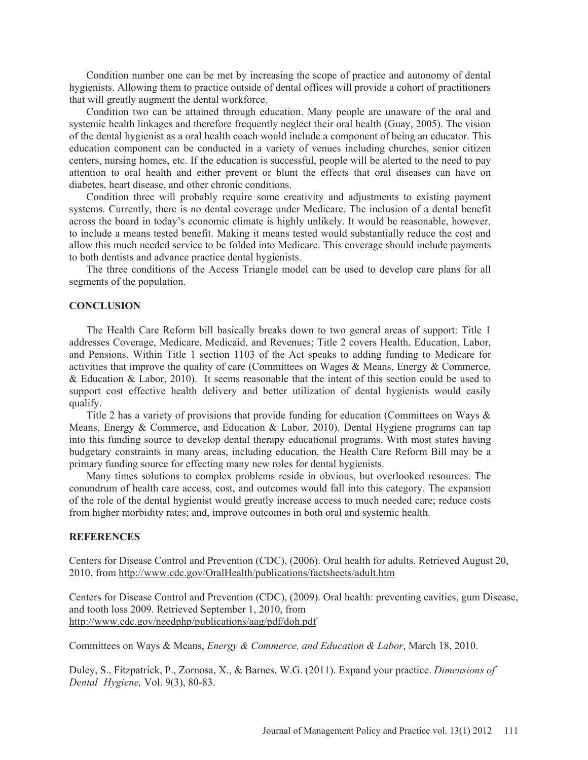Condition number one can be met by increasing the scope of practice and autonomy of dental hygienists. Allowing them to practice outside of dental offices will provide a cohort of practitioners that will greatly augment the dental workforce.

Condition two can be attained through education. Many people are unaware of the oral and systemic health linkages and therefore frequently neglect their oral health (Guay, 2005). The vision of the dental hygienist as a oral health coach would include a component of being an educator. This education component can be conducted in a variety of venues including churches, senior citizen centers, nursing homes, etc. If the education is successful, people will be alerted to the need to pay attention to oral health and either prevent or blunt the effects that oral diseases can have on diabetes, heart disease, and other chronic conditions.

Condition three will probably require some creativity and adjustments to existing payment systems. Currently, there is no dental coverage under Medicare. The inclusion of a dental benefit across the board in today's economic climate is highly unlikely. It would be reasonable, however, to include a means tested benefit. Making it means tested would substantially reduce the cost and allow this much needed service to be folded into Medicare. This coverage should include payments to both dentists and advance practice dental hygienists.

The three conditions of the Access Triangle model can be used to develop care plans for all segments of the population.

#### **CONCLUSION**

The Health Care Reform bill basically breaks down to two general areas of support: Title 1 addresses Coverage, Medicare, Medicaid, and Revenues; Title 2 covers Health, Education, Labor, and Pensions. Within Title 1 section 1103 of the Act speaks to adding funding to Medicare for activities that improve the quality of care (Committees on Wages & Means, Energy & Commerce, & Education & Labor, 2010). It seems reasonable that the intent of this section could be used to support cost effective health delivery and better utilization of dental hygienists would easily qualify.

Title 2 has a variety of provisions that provide funding for education (Committees on Ways & Means, Energy & Commerce, and Education & Labor, 2010). Dental Hygiene programs can tap into this funding source to develop dental therapy educational programs. With most states having budgetary constraints in many areas, including education, the Health Care Reform Bill may be a primary funding source for effecting many new roles for dental hygienists.

Many times solutions to complex problems reside in obvious, but overlooked resources. The conundrum of health care access, cost, and outcomes would fall into this category. The expansion of the role of the dental hygienist would greatly increase access to much needed care; reduce costs from higher morbidity rates; and, improve outcomes in both oral and systemic health.

#### **REFERENCES**

Centers for Disease Control and Prevention (CDC), (2006). Oral health for adults. Retrieved August 20, 2010, from http://www.cdc.gov/OralHealth/publications/factsheets/adult.htm

Centers for Disease Control and Prevention (CDC), (2009). Oral health: preventing cavities, gum Disease, and tooth loss 2009. Retrieved September 1, 2010, from http://www.cdc.gov/needphp/publications/aag/pdf/doh.pdf

Committees on Ways & Means, *Energy & Commerce, and Education & Labor*, March 18, 2010.

Duley, S., Fitzpatrick, P., Zornosa, X., & Barnes, W.G. (2011). Expand your practice. *Dimensions of Dental Hygiene,* Vol. 9(3), 80-83.